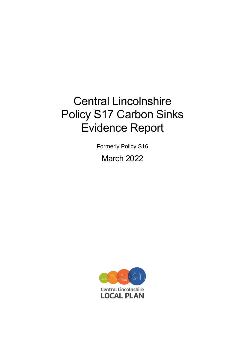# Central Lincolnshire Policy S17 Carbon Sinks Evidence Report

Formerly Policy S16 March 2022

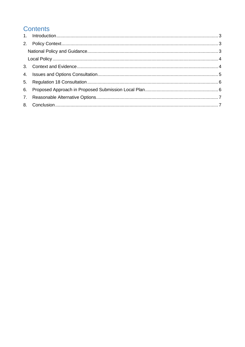# **Contents**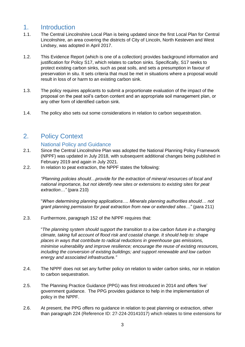#### <span id="page-2-0"></span>1. Introduction

- 1.1. The Central Lincolnshire Local Plan is being updated since the first Local Plan for Central Lincolnshire, an area covering the districts of City of Lincoln, North Kesteven and West Lindsey, was adopted in April 2017.
- 1.2. This Evidence Report (which is one of a collection) provides background information and justification for Policy S17, which relates to carbon sinks. Specifically, S17 seeks to protect existing carbon sinks, such as peat soils, and sets a presumption in favour of preservation in situ. It sets criteria that must be met in situations where a proposal would result in loss of or harm to an existing carbon sink.
- 1.3. The policy requires applicants to submit a proportionate evaluation of the impact of the proposal on the peat soil's carbon content and an appropriate soil management plan, or any other form of identified carbon sink.
- 1.4. The policy also sets out some considerations in relation to carbon sequestration.

#### <span id="page-2-1"></span>2. Policy Context

#### National Policy and Guidance

- <span id="page-2-2"></span>2.1. Since the Central Lincolnshire Plan was adopted the National Planning Policy Framework (NPPF) was updated in July 2018, with subsequent additional changes being published in February 2019 and again in July 2021.
- 2.2. In relation to peat extraction, the NPPF states the following:

*"Planning policies should…provide for the extraction of mineral resources of local and national importance, but not identify new sites or extensions to existing sites for peat extraction…"* (para 210)

"*When determining planning applications…. Minerals planning authorities should… not grant planning permission for peat extraction from new or extended sites…"* (para 211)

2.3. Furthermore, paragraph 152 of the NPPF requires that:

"*The planning system should support the transition to a low carbon future in a changing climate, taking full account of flood risk and coastal change. It should help to: shape places in ways that contribute to radical reductions in greenhouse gas emissions, minimise vulnerability and improve resilience; encourage the reuse of existing resources, including the conversion of existing buildings; and support renewable and low carbon energy and associated infrastructure."*

- 2.4. The NPPF does not set any further policy on relation to wider carbon sinks, nor in relation to carbon sequestration.
- 2.5. The Planning Practice Guidance (PPG) was first introduced in 2014 and offers 'live' government guidance. The PPG provides guidance to help in the implementation of policy in the NPPF.
- 2.6. At present, the PPG offers no guidance in relation to peat planning or extraction, other than paragraph 224 (Reference ID: 27-224-20141017) which relates to time extensions for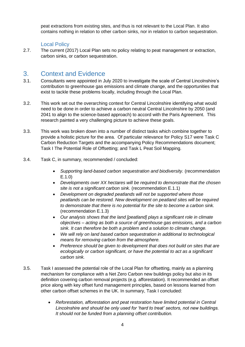peat extractions from existing sites, and thus is not relevant to the Local Plan. It also contains nothing in relation to other carbon sinks, nor in relation to carbon sequestration.

#### Local Policy

<span id="page-3-0"></span>2.7. The current (2017) Local Plan sets no policy relating to peat management or extraction, carbon sinks, or carbon sequestration.

#### <span id="page-3-1"></span>3. Context and Evidence

- 3.1. Consultants were appointed in July 2020 to investigate the scale of Central Lincolnshire's contribution to greenhouse gas emissions and climate change, and the opportunities that exist to tackle these problems locally, including through the Local Plan.
- 3.2. This work set out the overarching context for Central Lincolnshire identifying what would need to be done in order to achieve a carbon neutral Central Lincolnshire by 2050 (and 2041 to align to the science-based approach) to accord with the Paris Agreement. This research painted a very challenging picture to achieve these goals.
- 3.3. This work was broken down into a number of distinct tasks which combine together to provide a holistic picture for the area. Of particular relevance for Policy S17 were Task C Carbon Reduction Targets and the accompanying Policy Recommendations document; Task I The Potential Role of Offsetting; and Task L Peat Soil Mapping.
- 3.4. Task C, in summary, recommended / concluded:
	- *Supporting land-based carbon sequestration and biodiversity.* (recommendation E.1.0)
	- *Developments over XX hectares will be required to demonstrate that the chosen site is not a significant carbon sink.* (recommendation E.1.1)
	- *Development on degraded peatlands will not be supported where those peatlands can be restored. New development on peatland sites will be required to demonstrate that there is no potential for the site to become a carbon sink.* (recommendation E.1.3)
	- *Our analysis shows that the land [peatland] plays a significant role in climate objectives – acting as both a source of greenhouse gas emissions, and a carbon sink. It can therefore be both a problem and a solution to climate change.*
	- *We will rely on land based carbon sequestration in additional to technological means for removing carbon from the atmosphere.*
	- *Preference should be given to development that does not build on sites that are ecologically or carbon significant, or have the potential to act as a significant carbon sink.*
- 3.5. Task I assessed the potential role of the Local Plan for offsetting, mainly as a planning mechanism for compliance with a Net Zero Carbon new buildings policy but also in its definition covering carbon removal projects (e.g. afforestation). It recommended an offset price along with key offset fund management principles, based on lessons learned from other carbon offset schemes in the UK. In summary, Task I concluded:
	- *Reforestation, afforestation and peat restoration have limited potential in Central Lincolnshire and should be only used for 'hard to treat' sectors, not new buildings. It should not be funded from a planning offset contribution.*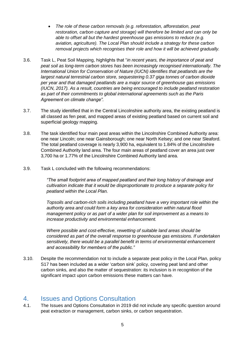- *The role of these carbon removals (e.g. reforestation, afforestation, peat restoration, carbon capture and storage) will therefore be limited and can only be able to offset all but the hardest greenhouse gas emissions to reduce (e.g. aviation, agriculture). The Local Plan should include a strategy for these carbon removal projects which recognises their role and how it will be achieved gradually.*
- 3.6. Task L, Peat Soil Mapping, highlights that "*in recent years, the importance of peat and peat soil as long-term carbon stores has been increasingly recognised internationally. The International Union for Conservation of Nature (IUCN) identifies that peatlands are the largest natural terrestrial carbon store, sequestering 0.37 giga tonnes of carbon dioxide per year and that damaged peatlands are a major source of greenhouse gas emissions (IUCN, 2017). As a result, countries are being encouraged to include peatland restoration as part of their commitments to global international agreements such as the Paris Agreement on climate change".*
- 3.7. The study identified that in the Central Lincolnshire authority area, the existing peatland is all classed as fen peat, and mapped areas of existing peatland based on current soil and superficial geology mapping.
- 3.8. The task identified four main peat areas within the Lincolnshire Combined Authority area: one near Lincoln; one near Gainsborough; one near North Kelsey; and one near Sleaford. The total peatland coverage is nearly 3,900 ha, equivalent to 1.84% of the Lincolnshire Combined Authority land area. The four main areas of peatland cover an area just over 3,700 ha or 1.77% of the Lincolnshire Combined Authority land area.
- 3.9. Task L concluded with the following recommendations:

*"The small footprint area of mapped peatland and their long history of drainage and cultivation indicate that it would be disproportionate to produce a separate policy for peatland within the Local Plan.* 

*Topsoils and carbon-rich soils including peatland have a very important role within the authority area and could form a key area for consideration within natural flood management policy or as part of a wider plan for soil improvement as a means to increase productivity and environmental enhancement.*

*Where possible and cost-effective, rewetting of suitable land areas should be considered as part of the overall response to greenhouse gas emissions. If undertaken sensitively, there would be a parallel benefit in terms of environmental enhancement and accessibility for members of the public."*

3.10. Despite the recommendation not to include a separate peat policy in the Local Plan, policy S17 has been included as a wider 'carbon sink' policy, covering peat land and other carbon sinks, and also the matter of sequestration: its inclusion is in recognition of the significant impact upon carbon emissions these matters can have.

## <span id="page-4-0"></span>4. Issues and Options Consultation

4.1. The Issues and Options Consultation in 2019 did not include any specific question around peat extraction or management, carbon sinks, or carbon sequestration.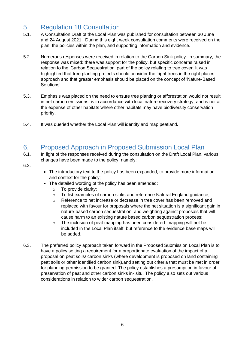## <span id="page-5-0"></span>5. Regulation 18 Consultation

- 5.1. A Consultation Draft of the Local Plan was published for consultation between 30 June and 24 August 2021. During this eight week consultation comments were received on the plan, the policies within the plan, and supporting information and evidence.
- 5.2. Numerous responses were received in relation to the Carbon Sink policy. In summary, the response was mixed: there was support for the policy, but specific concerns raised in relation to the 'Carbon Sequestration' part of the policy relating to tree cover. It was highlighted that tree planting projects should consider the 'right trees in the right places' approach and that greater emphasis should be placed on the concept of 'Nature-Based Solutions'.
- 5.3. Emphasis was placed on the need to ensure tree planting or afforestation would not result in net carbon emissions; is in accordance with local nature recovery strategy; and is not at the expense of other habitats where other habitats may have biodiversity conservation priority.
- 5.4. It was queried whether the Local Plan will identify and map peatland.

#### <span id="page-5-1"></span>6. Proposed Approach in Proposed Submission Local Plan

- 6.1. In light of the responses received during the consultation on the Draft Local Plan, various changes have been made to the policy, namely:
- 6.2.
- The introductory text to the policy has been expanded, to provide more information and context for the policy;
- The detailed wording of the policy has been amended:
	- o To provide clarity;
	- o To list examples of carbon sinks and reference Natural England guidance;
	- o Reference to net increase or decrease in tree cover has been removed and replaced with favour for proposals where the net situation is a significant gain in nature-based carbon sequestration, and weighting against proposals that will cause harm to an existing nature based carbon sequestration process;
	- o The inclusion of peat mapping has been considered: mapping will not be included in the Local Plan itself, but reference to the evidence base maps will be added.
- 6.3. The preferred policy approach taken forward in the Proposed Submission Local Plan is to have a policy setting a requirement for a proportionate evaluation of the impact of a proposal on peat soils/ carbon sinks (where development is proposed on land containing peat soils or other identified carbon sink),and setting out criteria that must be met in order for planning permission to be granted. The policy establishes a presumption in favour of preservation of peat and other carbon sinks in- situ. The policy also sets out various considerations in relation to wider carbon sequestration.